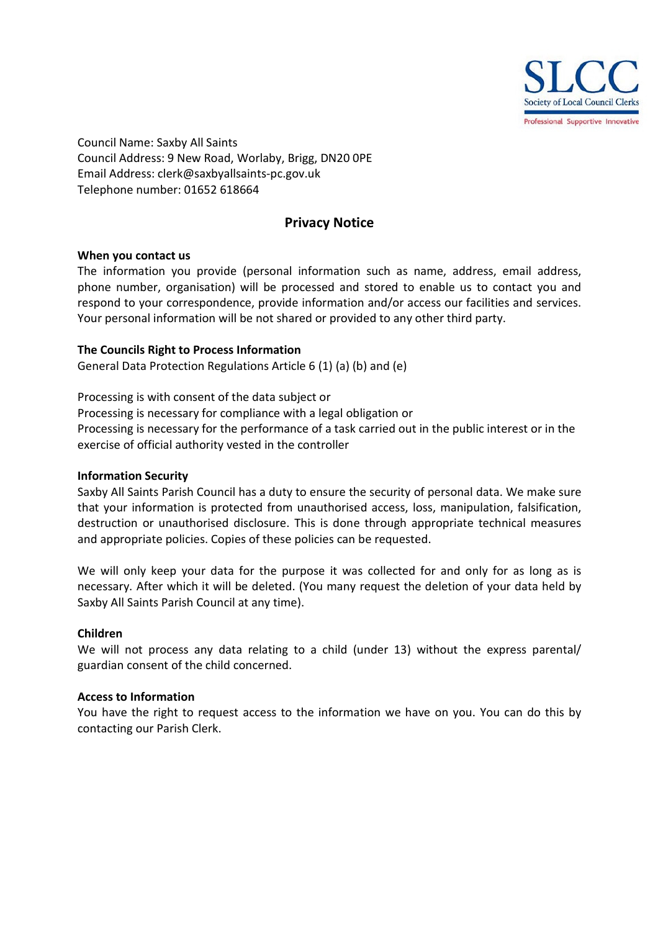

Council Name: Saxby All Saints Council Address: 9 New Road, Worlaby, Brigg, DN20 0PE Email Address: clerk@saxbyallsaints-pc.gov.uk Telephone number: 01652 618664

# **Privacy Notice**

# **When you contact us**

The information you provide (personal information such as name, address, email address, phone number, organisation) will be processed and stored to enable us to contact you and respond to your correspondence, provide information and/or access our facilities and services. Your personal information will be not shared or provided to any other third party.

# **The Councils Right to Process Information**

General Data Protection Regulations Article 6 (1) (a) (b) and (e)

Processing is with consent of the data subject or Processing is necessary for compliance with a legal obligation or Processing is necessary for the performance of a task carried out in the public interest or in the exercise of official authority vested in the controller

# **Information Security**

Saxby All Saints Parish Council has a duty to ensure the security of personal data. We make sure that your information is protected from unauthorised access, loss, manipulation, falsification, destruction or unauthorised disclosure. This is done through appropriate technical measures and appropriate policies. Copies of these policies can be requested.

We will only keep your data for the purpose it was collected for and only for as long as is necessary. After which it will be deleted. (You many request the deletion of your data held by Saxby All Saints Parish Council at any time).

### **Children**

We will not process any data relating to a child (under 13) without the express parental/ guardian consent of the child concerned.

### **Access to Information**

You have the right to request access to the information we have on you. You can do this by contacting our Parish Clerk.